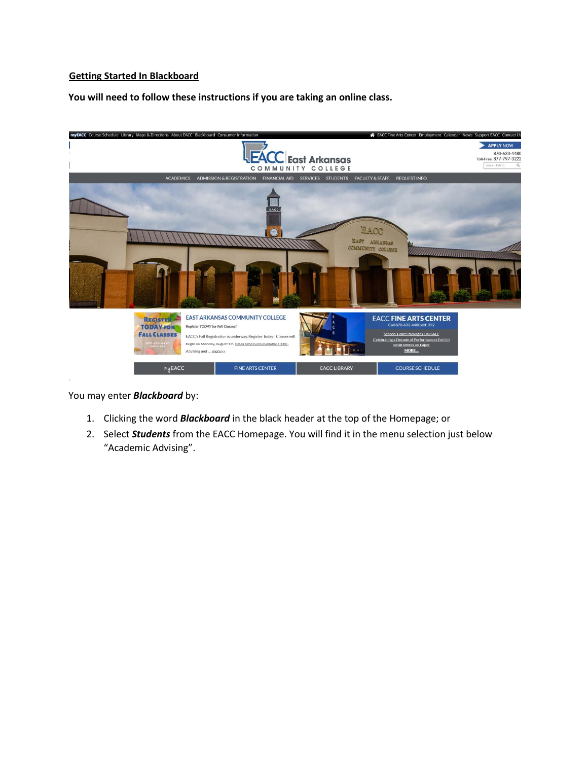### **Getting Started In Blackboard**

**You will need to follow these instructions if you are taking an online class.** 



You may enter *Blackboard* by:

- 1. Clicking the word *Blackboard* in the black header at the top of the Homepage; or
- 2. Select *Students* from the EACC Homepage. You will find it in the menu selection just below "Academic Advising".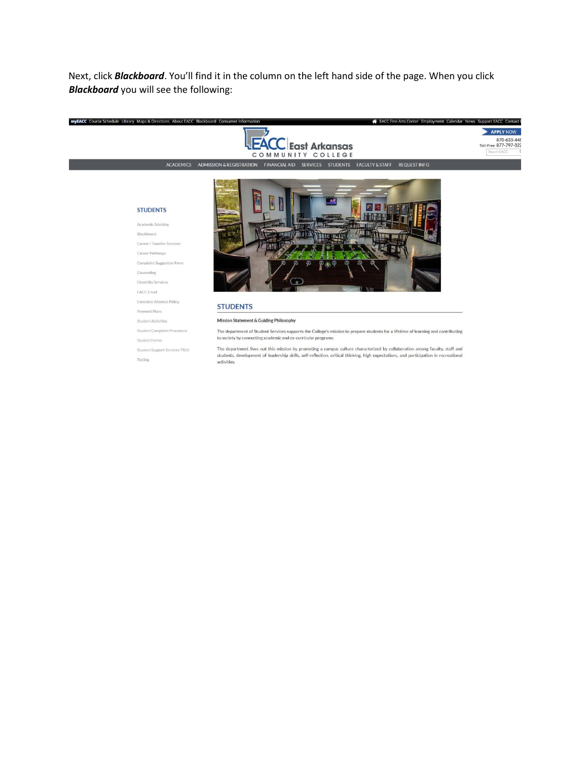Next, click *Blackboard*. You'll find it in the column on the left hand side of the page. When you click *Blackboard* you will see the following:





EACC Fine Arts Center Employment Calendar News Support EACC Contact I

ACADEMICS ADMISSION & REGISTRATION FINANCIAL AID SERVICES STUDENTS FACULTY & STAFF REQUEST INFO

#### **STUDENTS** Academic Advising

Blackboard

Career / Transfer Services

Career Pathways Complaint Suggestion Form

Counseling

**Disability Services** 

 $\mathsf{EACC}\,\mathsf{Email}$ 

Excessive Absence Policy

Payment Plans

Student Activities

Student Complaint Procedure

Student Forms

Student Support Services TRIO

Testing



#### **STUDENTS**

Mission Statement & Guiding Philosophy

The department of Student Services supports the College's mission to prepare students for a lifetime of learning and contributing<br>to society by connecting academic and co-curricular programs.

The department lives out this mission by promoting a campus culture characterized by collaboration among faculty, staff and students, development of leadership skills, self-reflection, critical thinking, high expectations, and participation in recreational activities.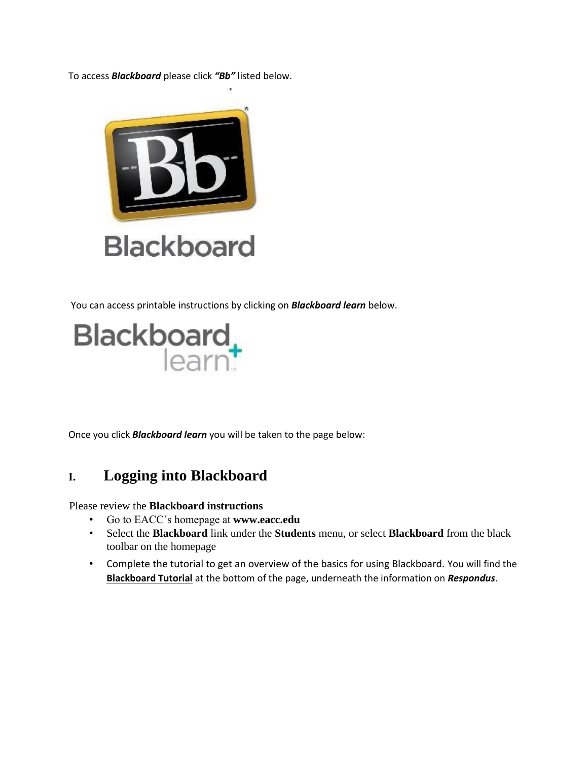To access *Blackboard* please click *"Bb"* listed below.



You can access printable instructions by clicking on *Blackboard learn* below.



Once you click *Blackboard learn* you will be taken to the page below:

## **I. Logging into Blackboard**

Please review the **Blackboard instructions** 

- Go to EACC's homepage at **www.eacc.edu**
- Select the **Blackboard** link under the **Students** menu, or select **Blackboard** from the black toolbar on the homepage
- Complete the tutorial to get an overview of the basics for using Blackboard. You will find the **Blackboard Tutorial** at the bottom of the page, underneath the information on *Respondus*.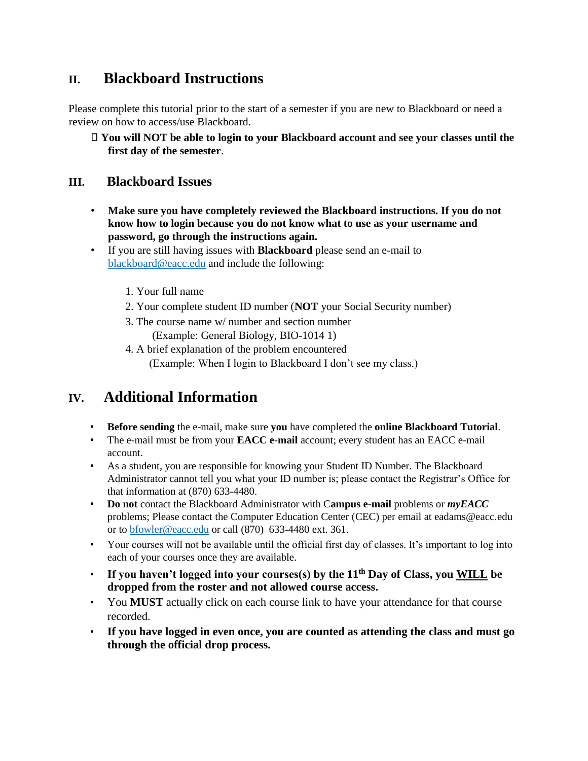## **II. Blackboard Instructions**

Please complete this tutorial prior to the start of a semester if you are new to Blackboard or need a review on how to access/use Blackboard.

**You will NOT be able to login to your Blackboard account and see your classes until the first day of the semester**.

### **III. Blackboard Issues**

- **Make sure you have completely reviewed the Blackboard instructions. If you do not know how to login because you do not know what to use as your username and password, go through the instructions again.**
- If you are still having issues with **Blackboard** please send an e-mail to blackboard@eacc.edu and include the following:
	- 1. Your full name
	- 2. Your complete student ID number (**NOT** your Social Security number)
	- 3. The course name w/ number and section number (Example: General Biology, BIO-1014 1)
	- 4. A brief explanation of the problem encountered (Example: When I login to Blackboard I don't see my class.)

## **IV. Additional Information**

- **Before sending** the e-mail, make sure **you** have completed the **online Blackboard Tutorial**.
- The e-mail must be from your **EACC e-mail** account; every student has an EACC e-mail account.
- As a student, you are responsible for knowing your Student ID Number. The Blackboard Administrator cannot tell you what your ID number is; please contact the Registrar's Office for that information at (870) 633-4480.
- **Do not** contact the Blackboard Administrator with C**ampus e-mail** problems or *myEACC* problems; Please contact the Computer Education Center (CEC) per email at eadams@eacc.edu or to **bfowler@eacc.edu** or call (870) 633-4480 ext. 361.
- Your courses will not be available until the official first day of classes. It's important to log into each of your courses once they are available.
- **If you haven't logged into your courses(s) by the 11th Day of Class, you WILL be dropped from the roster and not allowed course access.**
- You **MUST** actually click on each course link to have your attendance for that course recorded.
- **If you have logged in even once, you are counted as attending the class and must go through the official drop process.**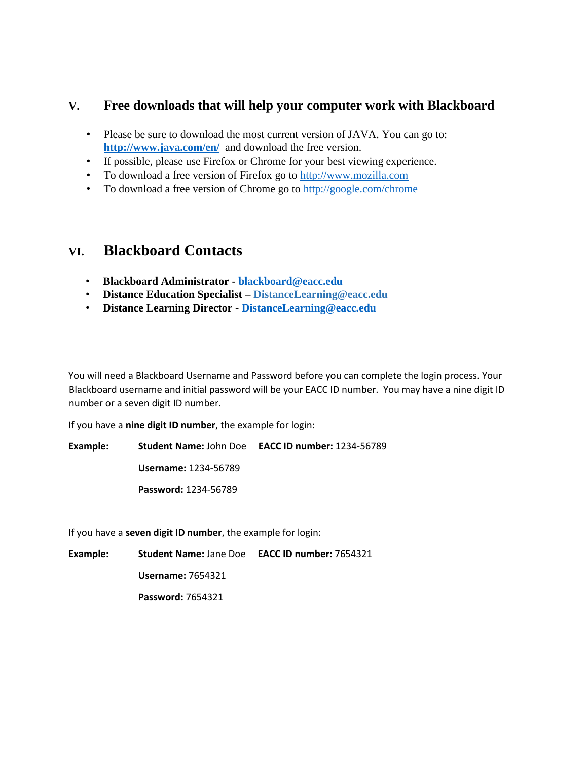### **V. Free downloads that will help your computer work with Blackboard**

- Please be sure to download the most current version of JAVA. You can go to: **<http://www.java.com/en/>** and download the free version.
- If possible, please use Firefox or Chrome for your best viewing experience.
- To download a free version of Firefox go to [http://www.mozilla.com](http://www.mozilla.com/)
- To download a free version of Chrome go to http://google.com/chrome

## **VI. Blackboard Contacts**

- **Blackboard Administrator - blackboard@eacc.edu**
- **Distance Education Specialist – DistanceLearning@eacc.edu**
- **Distance Learning Director - DistanceLearning@eacc.edu**

You will need a Blackboard Username and Password before you can complete the login process. Your Blackboard username and initial password will be your EACC ID number. You may have a nine digit ID number or a seven digit ID number.

If you have a **nine digit ID number**, the example for login:

**Example: Student Name:** John Doe **EACC ID number:** 1234-56789 **Username:** 1234-56789 **Password:** 1234-56789

If you have a **seven digit ID number**, the example for login:

**Example: Student Name:** Jane Doe **EACC ID number:** 7654321

**Username:** 7654321

**Password:** 7654321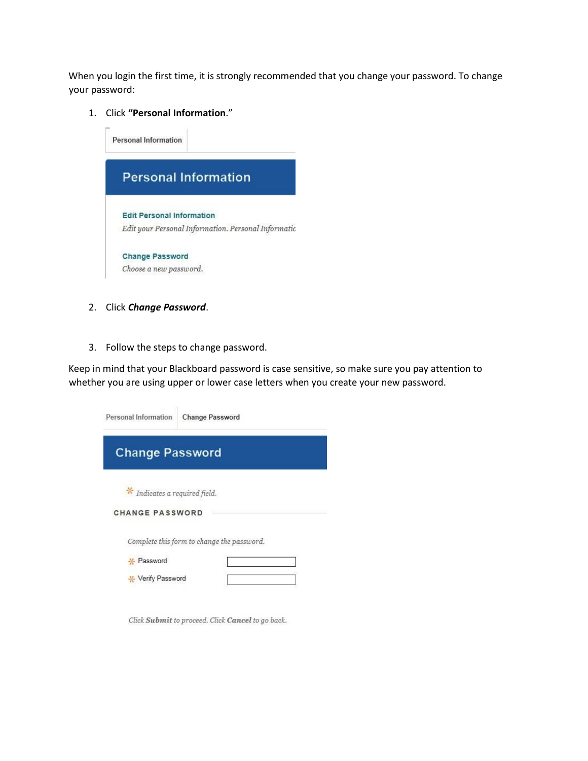When you login the first time, it is strongly recommended that you change your password. To change your password:

1. Click **"Personal Information**."



- 2. Click *Change Password*.
- 3. Follow the steps to change password.

Keep in mind that your Blackboard password is case sensitive, so make sure you pay attention to whether you are using upper or lower case letters when you create your new password.

| Personal Information |                               | <b>Change Password</b>                     |
|----------------------|-------------------------------|--------------------------------------------|
|                      | <b>Change Password</b>        |                                            |
|                      | * Indicates a required field. |                                            |
|                      | <b>CHANGE PASSWORD</b>        |                                            |
|                      |                               | Complete this form to change the password. |
| * Password           |                               |                                            |
|                      | <b>X</b> Verify Password      |                                            |

Click Submit to proceed. Click Cancel to go back.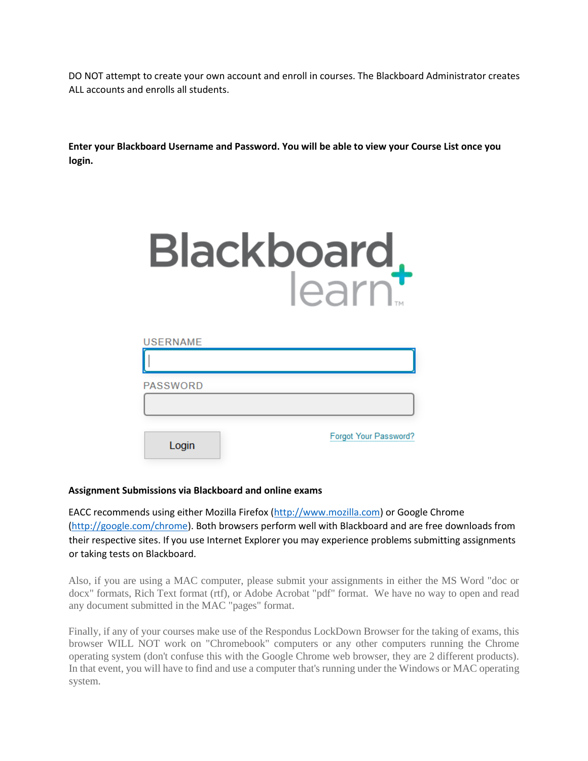DO NOT attempt to create your own account and enroll in courses. The Blackboard Administrator creates ALL accounts and enrolls all students.

**Enter your Blackboard Username and Password. You will be able to view your Course List once you login.**

| Blackboard. |  |  |
|-------------|--|--|
|             |  |  |

| <b>USERNAME</b> |                       |
|-----------------|-----------------------|
|                 |                       |
| <b>PASSWORD</b> |                       |
|                 |                       |
| Login           | Forgot Your Password? |

#### **Assignment Submissions via Blackboard and online exams**

EACC recommends using either Mozilla Firefox [\(http://www.mozilla.com\)](http://www.mozilla.com/) or Google Chrome [\(http://google.com/chrome\).](http://google.com/chrome) Both browsers perform well with Blackboard and are free downloads from their respective sites. If you use Internet Explorer you may experience problems submitting assignments or taking tests on Blackboard.

Also, if you are using a MAC computer, please submit your assignments in either the MS Word "doc or docx" formats, Rich Text format (rtf), or Adobe Acrobat "pdf" format. We have no way to open and read any document submitted in the MAC "pages" format.

Finally, if any of your courses make use of the Respondus LockDown Browser for the taking of exams, this browser WILL NOT work on "Chromebook" computers or any other computers running the Chrome operating system (don't confuse this with the Google Chrome web browser, they are 2 different products). In that event, you will have to find and use a computer that's running under the Windows or MAC operating system.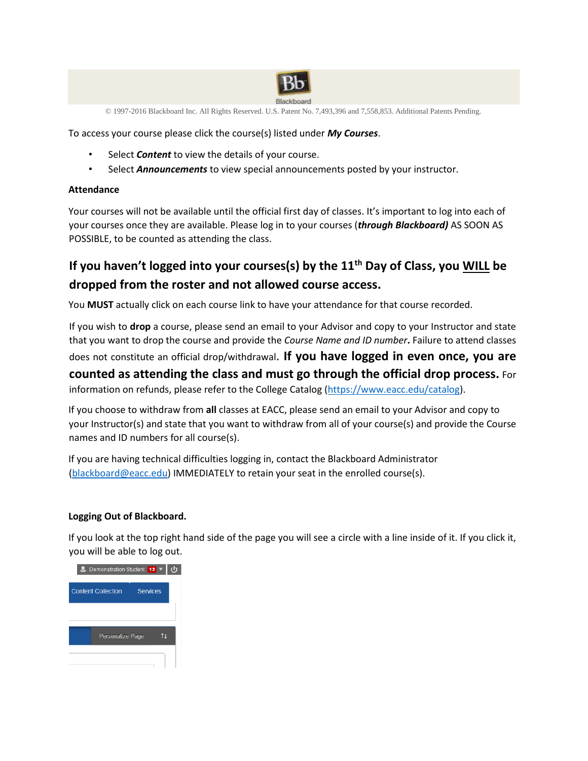

© 1997-2016 Blackboard Inc. All Rights Reserved. U.S. Patent No. 7,493,396 and 7,558,853. Additional Patents Pending.

To access your course please click the course(s) listed under *My Courses*.

- Select **Content** to view the details of your course.
- Select *Announcements* to view special announcements posted by your instructor.

#### **Attendance**

Your courses will not be available until the official first day of classes. It's important to log into each of your courses once they are available. Please log in to your courses (*through Blackboard)* AS SOON AS POSSIBLE, to be counted as attending the class.

## **If you haven't logged into your courses(s) by the 11th Day of Class, you WILL be dropped from the roster and not allowed course access.**

You **MUST** actually click on each course link to have your attendance for that course recorded.

If you wish to **drop** a course, please send an email to your Advisor and copy to your Instructor and state that you want to drop the course and provide the *Course Name and ID number***.** Failure to attend classes does not constitute an official drop/withdrawal. **If you have logged in even once, you are counted as attending the class and must go through the official drop process.** For information on refunds, please refer to the College Catalog [\(https://www.eacc.edu/catalog\).](https://www.eacc.edu/catalog)

If you choose to withdraw from **all** classes at EACC, please send an email to your Advisor and copy to your Instructor(s) and state that you want to withdraw from all of your course(s) and provide the Course names and ID numbers for all course(s).

If you are having technical difficulties logging in, contact the Blackboard Administrator (blackboard@eacc.edu) IMMEDIATELY to retain your seat in the enrolled course(s).

#### **Logging Out of Blackboard.**

If you look at the top right hand side of the page you will see a circle with a line inside of it. If you click it, you will be able to log out.

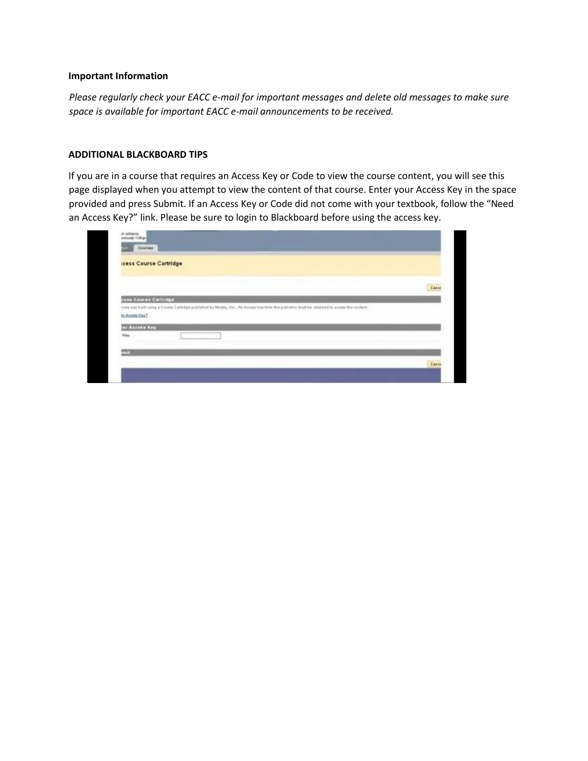#### **Important Information**

*Please regularly check your EACC e-mail for important messages and delete old messages to make sure space is available for important EACC e-mail announcements to be received.* 

#### **ADDITIONAL BLACKBOARD TIPS**

If you are in a course that requires an Access Key or Code to view the course content, you will see this page displayed when you attempt to view the content of that course. Enter your Access Key in the space provided and press Submit. If an Access Key or Code did not come with your textbook, follow the "Need an Access Key?" link. Please be sure to login to Blackboard before using the access key.

| <b>Icess Course Cartridge</b> |                                                                                                                                               |       |
|-------------------------------|-----------------------------------------------------------------------------------------------------------------------------------------------|-------|
|                               |                                                                                                                                               | Casse |
|                               |                                                                                                                                               |       |
| cess Course Cartridge         |                                                                                                                                               |       |
|                               | rums mad broff soling a Counter Cathidge published by Mostly, Pro., An Access Key from this publisher must be obtained to provid this content |       |
| <b>ALLENE KAY</b>             |                                                                                                                                               |       |
| to Assess KesT<br>Key         |                                                                                                                                               |       |
|                               |                                                                                                                                               |       |
|                               |                                                                                                                                               |       |